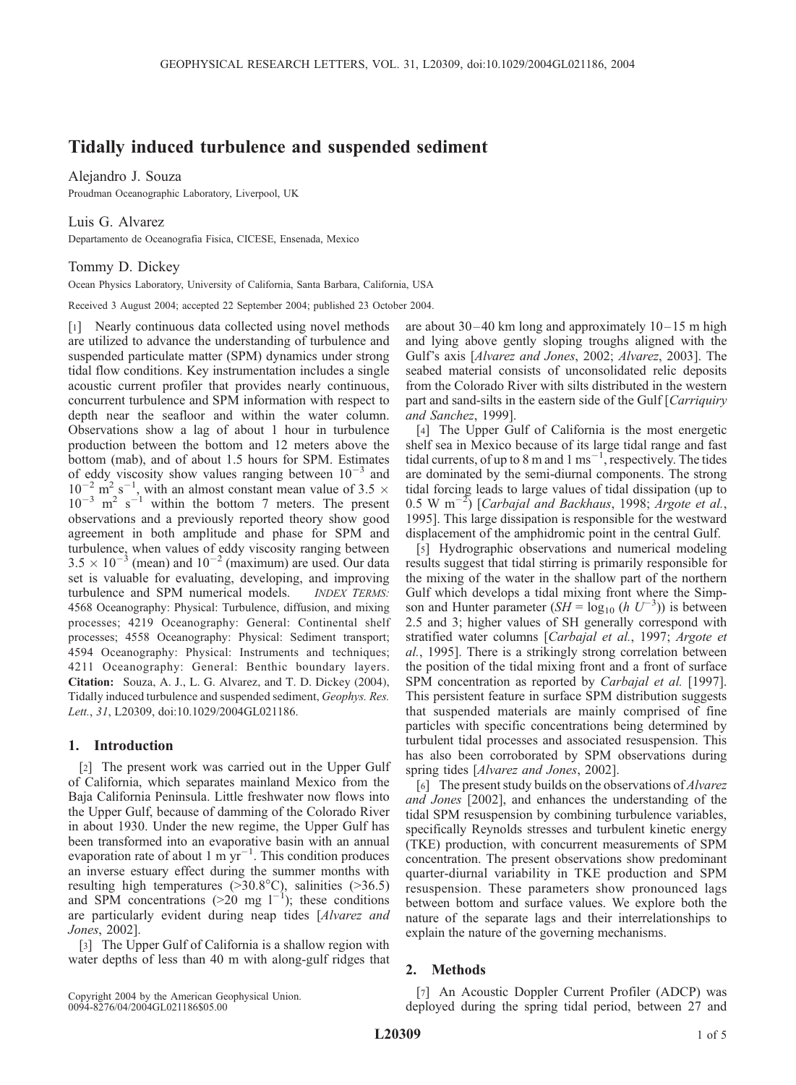# Tidally induced turbulence and suspended sediment

Alejandro J. Souza

Proudman Oceanographic Laboratory, Liverpool, UK

Luis G. Alvarez

Departamento de Oceanografia Fisica, CICESE, Ensenada, Mexico

## Tommy D. Dickey

Ocean Physics Laboratory, University of California, Santa Barbara, California, USA

Received 3 August 2004; accepted 22 September 2004; published 23 October 2004.

[1] Nearly continuous data collected using novel methods are utilized to advance the understanding of turbulence and suspended particulate matter (SPM) dynamics under strong tidal flow conditions. Key instrumentation includes a single acoustic current profiler that provides nearly continuous, concurrent turbulence and SPM information with respect to depth near the seafloor and within the water column. Observations show a lag of about 1 hour in turbulence production between the bottom and 12 meters above the bottom (mab), and of about 1.5 hours for SPM. Estimates of eddy viscosity show values ranging between  $10^{-3}$  and  $10^{-2}$  m<sup>2</sup> s<sup>-1</sup>, with an almost constant mean value of 3.5  $\times$  $10^{-3}$  m<sup>2</sup> s<sup>-1</sup> within the bottom 7 meters. The present observations and a previously reported theory show good agreement in both amplitude and phase for SPM and turbulence, when values of eddy viscosity ranging between  $3.5 \times 10^{-3}$  (mean) and  $10^{-2}$  (maximum) are used. Our data set is valuable for evaluating, developing, and improving turbulence and SPM numerical models. **INDEX TERMS:** 4568 Oceanography: Physical: Turbulence, diffusion, and mixing processes; 4219 Oceanography: General: Continental shelf processes; 4558 Oceanography: Physical: Sediment transport; 4594 Oceanography: Physical: Instruments and techniques; 4211 Oceanography: General: Benthic boundary layers. Citation: Souza, A. J., L. G. Alvarez, and T. D. Dickey (2004), Tidally induced turbulence and suspended sediment, Geophys. Res. Lett., 31, L20309, doi:10.1029/2004GL021186.

### 1. Introduction

[2] The present work was carried out in the Upper Gulf of California, which separates mainland Mexico from the Baja California Peninsula. Little freshwater now flows into the Upper Gulf, because of damming of the Colorado River in about 1930. Under the new regime, the Upper Gulf has been transformed into an evaporative basin with an annual evaporation rate of about 1 m  $yr^{-1}$ . This condition produces an inverse estuary effect during the summer months with resulting high temperatures ( $>30.8^{\circ}$ C), salinities ( $>36.5$ ) and SPM concentrations (>20 mg  $1^{-1}$ ); these conditions are particularly evident during neap tides [Alvarez and Jones, 2002].

[3] The Upper Gulf of California is a shallow region with water depths of less than 40 m with along-gulf ridges that

Copyright 2004 by the American Geophysical Union. 0094-8276/04/2004GL021186\$05.00

are about  $30-40$  km long and approximately  $10-15$  m high and lying above gently sloping troughs aligned with the Gulf's axis [Alvarez and Jones, 2002; Alvarez, 2003]. The seabed material consists of unconsolidated relic deposits from the Colorado River with silts distributed in the western part and sand-silts in the eastern side of the Gulf [Carriquiry and Sanchez, 1999].

[4] The Upper Gulf of California is the most energetic shelf sea in Mexico because of its large tidal range and fast tidal currents, of up to 8 m and 1 ms<sup>-1</sup>, respectively. The tides are dominated by the semi-diurnal components. The strong tidal forcing leads to large values of tidal dissipation (up to  $0.5 \text{ W m}^{-2}$ ) [Carbajal and Backhaus, 1998; Argote et al., 1995]. This large dissipation is responsible for the westward displacement of the amphidromic point in the central Gulf.

[5] Hydrographic observations and numerical modeling results suggest that tidal stirring is primarily responsible for the mixing of the water in the shallow part of the northern Gulf which develops a tidal mixing front where the Simpson and Hunter parameter  $(SH = \log_{10} (h U^{-3}))$  is between 2.5 and 3; higher values of SH generally correspond with stratified water columns [Carbajal et al., 1997; Argote et al., 1995]. There is a strikingly strong correlation between the position of the tidal mixing front and a front of surface SPM concentration as reported by *Carbajal et al.* [1997]. This persistent feature in surface SPM distribution suggests that suspended materials are mainly comprised of fine particles with specific concentrations being determined by turbulent tidal processes and associated resuspension. This has also been corroborated by SPM observations during spring tides [Alvarez and Jones, 2002].

[6] The present study builds on the observations of *Alvarez* and Jones [2002], and enhances the understanding of the tidal SPM resuspension by combining turbulence variables, specifically Reynolds stresses and turbulent kinetic energy (TKE) production, with concurrent measurements of SPM concentration. The present observations show predominant quarter-diurnal variability in TKE production and SPM resuspension. These parameters show pronounced lags between bottom and surface values. We explore both the nature of the separate lags and their interrelationships to explain the nature of the governing mechanisms.

## 2. Methods

[7] An Acoustic Doppler Current Profiler (ADCP) was deployed during the spring tidal period, between 27 and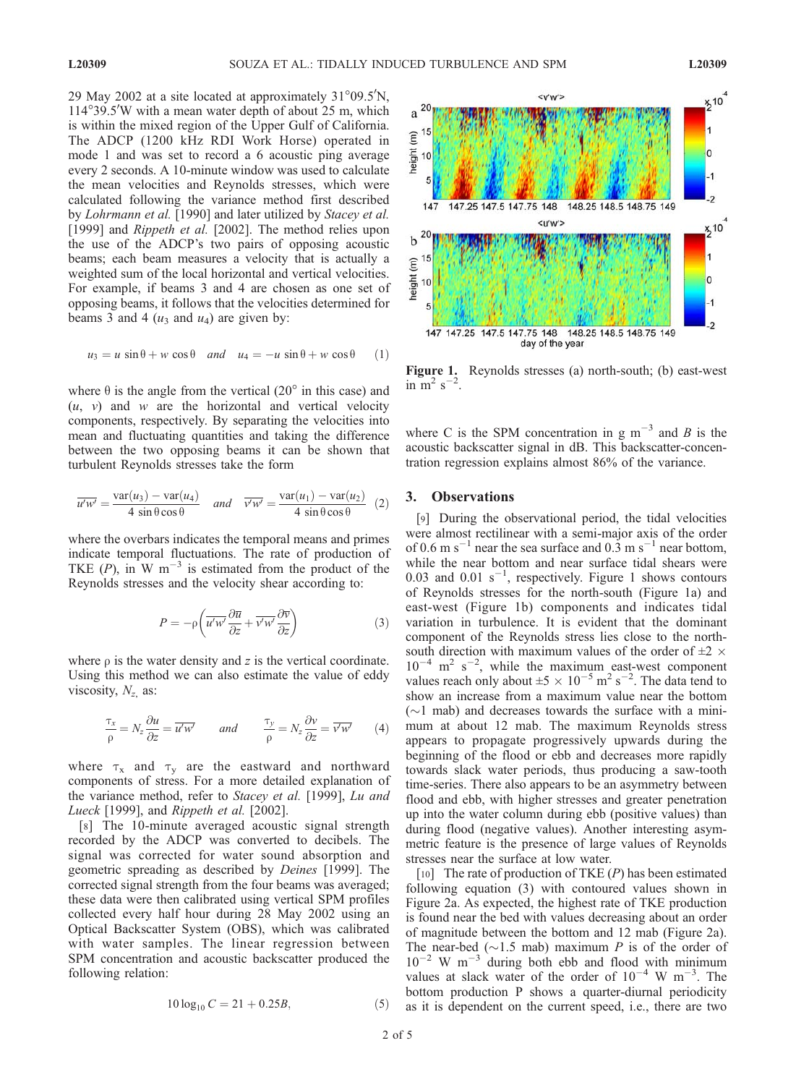29 May 2002 at a site located at approximately  $31^{\circ}09.5^{\prime}$ N, 114°39.5'W with a mean water depth of about 25 m, which is within the mixed region of the Upper Gulf of California. The ADCP (1200 kHz RDI Work Horse) operated in mode 1 and was set to record a 6 acoustic ping average every 2 seconds. A 10-minute window was used to calculate the mean velocities and Reynolds stresses, which were calculated following the variance method first described by Lohrmann et al. [1990] and later utilized by Stacey et al. [1999] and *Rippeth et al.* [2002]. The method relies upon the use of the ADCP's two pairs of opposing acoustic beams; each beam measures a velocity that is actually a weighted sum of the local horizontal and vertical velocities. For example, if beams 3 and 4 are chosen as one set of opposing beams, it follows that the velocities determined for beams 3 and 4  $(u_3 \text{ and } u_4)$  are given by:

$$
u_3 = u \sin \theta + w \cos \theta \quad and \quad u_4 = -u \sin \theta + w \cos \theta \quad (1)
$$

where  $\theta$  is the angle from the vertical (20 $\degree$  in this case) and  $(u, v)$  and w are the horizontal and vertical velocity components, respectively. By separating the velocities into mean and fluctuating quantities and taking the difference between the two opposing beams it can be shown that turbulent Reynolds stresses take the form

$$
\overline{u'w'} = \frac{\text{var}(u_3) - \text{var}(u_4)}{4 \sin \theta \cos \theta} \quad \text{and} \quad \overline{v'w'} = \frac{\text{var}(u_1) - \text{var}(u_2)}{4 \sin \theta \cos \theta} \tag{2}
$$

where the overbars indicates the temporal means and primes indicate temporal fluctuations. The rate of production of TKE  $(P)$ , in W m<sup>-3</sup> is estimated from the product of the Reynolds stresses and the velocity shear according to:

$$
P = -\rho \left( \overline{u'w'} \frac{\partial \overline{u}}{\partial z} + \overline{v'w'} \frac{\partial \overline{v}}{\partial z} \right)
$$
 (3)

where  $\rho$  is the water density and z is the vertical coordinate. Using this method we can also estimate the value of eddy viscosity,  $N_{z}$  as:

$$
\frac{\tau_x}{\rho} = N_z \frac{\partial u}{\partial z} = \overline{u'w'} \qquad \text{and} \qquad \frac{\tau_y}{\rho} = N_z \frac{\partial v}{\partial z} = \overline{v'w'} \tag{4}
$$

where  $\tau_x$  and  $\tau_y$  are the eastward and northward components of stress. For a more detailed explanation of the variance method, refer to Stacey et al. [1999], Lu and Lueck [1999], and Rippeth et al. [2002].

[8] The 10-minute averaged acoustic signal strength recorded by the ADCP was converted to decibels. The signal was corrected for water sound absorption and geometric spreading as described by Deines [1999]. The corrected signal strength from the four beams was averaged; these data were then calibrated using vertical SPM profiles collected every half hour during 28 May 2002 using an Optical Backscatter System (OBS), which was calibrated with water samples. The linear regression between SPM concentration and acoustic backscatter produced the following relation:

$$
10\log_{10} C = 21 + 0.25B,\tag{5}
$$



Figure 1. Reynolds stresses (a) north-south; (b) east-west in  $\overline{m}^2$  s<sup>-2</sup>.

where C is the SPM concentration in g  $m^{-3}$  and B is the acoustic backscatter signal in dB. This backscatter-concentration regression explains almost 86% of the variance.

## 3. Observations

[9] During the observational period, the tidal velocities were almost rectilinear with a semi-major axis of the order of 0.6 m s<sup>-1</sup> near the sea surface and 0.3 m s<sup>-1</sup> near bottom, while the near bottom and near surface tidal shears were 0.03 and 0.01  $s^{-1}$ , respectively. Figure 1 shows contours of Reynolds stresses for the north-south (Figure 1a) and east-west (Figure 1b) components and indicates tidal variation in turbulence. It is evident that the dominant component of the Reynolds stress lies close to the northsouth direction with maximum values of the order of  $\pm 2 \times$  $10^{-4}$  m<sup>2</sup> s<sup>-2</sup>, while the maximum east-west component values reach only about  $\pm 5 \times 10^{-5}$  m<sup>2</sup> s<sup>-2</sup>. The data tend to show an increase from a maximum value near the bottom  $(\sim)$  mab) and decreases towards the surface with a minimum at about 12 mab. The maximum Reynolds stress appears to propagate progressively upwards during the beginning of the flood or ebb and decreases more rapidly towards slack water periods, thus producing a saw-tooth time-series. There also appears to be an asymmetry between flood and ebb, with higher stresses and greater penetration up into the water column during ebb (positive values) than during flood (negative values). Another interesting asymmetric feature is the presence of large values of Reynolds stresses near the surface at low water.

[10] The rate of production of TKE  $(P)$  has been estimated following equation (3) with contoured values shown in Figure 2a. As expected, the highest rate of TKE production is found near the bed with values decreasing about an order of magnitude between the bottom and 12 mab (Figure 2a). The near-bed ( $\sim$ 1.5 mab) maximum P is of the order of  $10^{-2}$  W m<sup>-3</sup> during both ebb and flood with minimum values at slack water of the order of  $10^{-4}$  W m<sup>-3</sup>. The bottom production P shows a quarter-diurnal periodicity as it is dependent on the current speed, i.e., there are two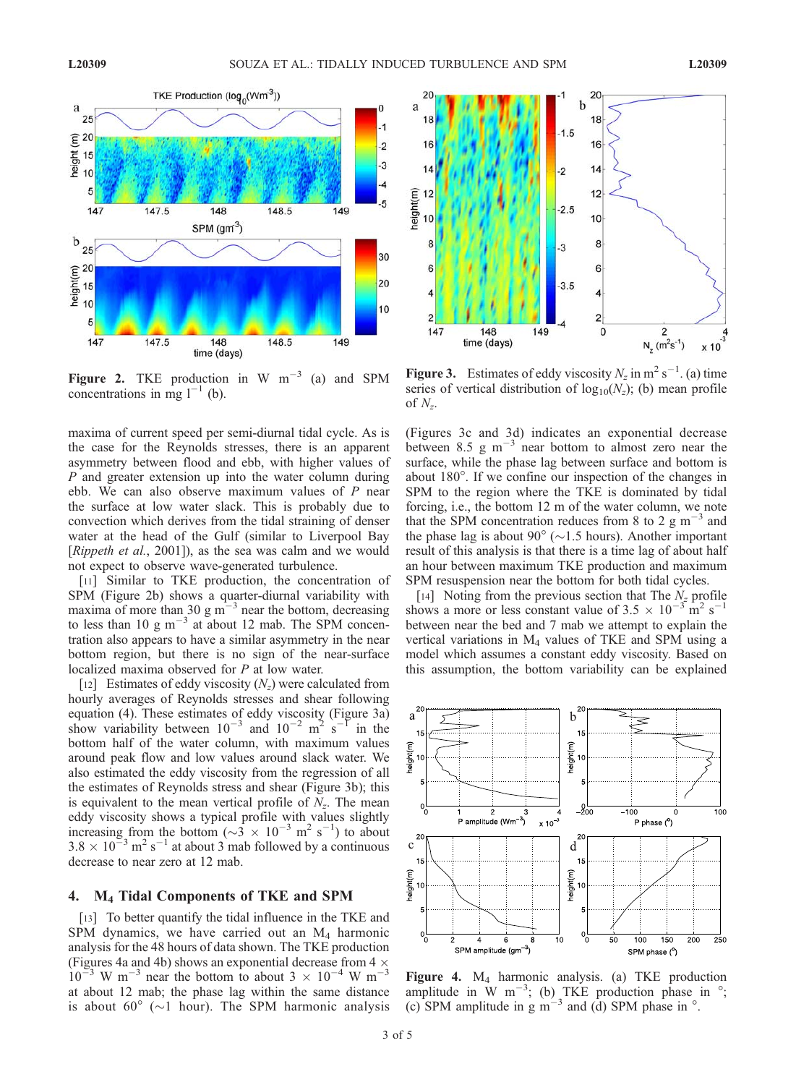

Figure 2. TKE production in W  $m^{-3}$  (a) and SPM concentrations in mg  $l^{-1}$  (b).

maxima of current speed per semi-diurnal tidal cycle. As is the case for the Reynolds stresses, there is an apparent asymmetry between flood and ebb, with higher values of P and greater extension up into the water column during ebb. We can also observe maximum values of  $P$  near the surface at low water slack. This is probably due to convection which derives from the tidal straining of denser water at the head of the Gulf (similar to Liverpool Bay [Rippeth et al., 2001]), as the sea was calm and we would not expect to observe wave-generated turbulence.

[11] Similar to TKE production, the concentration of SPM (Figure 2b) shows a quarter-diurnal variability with maxima of more than 30 g  $\text{m}^{-3}$  near the bottom, decreasing to less than 10 g  $m^{-3}$  at about 12 mab. The SPM concentration also appears to have a similar asymmetry in the near bottom region, but there is no sign of the near-surface localized maxima observed for P at low water.

[12] Estimates of eddy viscosity  $(N_z)$  were calculated from hourly averages of Reynolds stresses and shear following equation (4). These estimates of eddy viscosity (Figure 3a) show variability between  $10^{-3}$  and  $10^{-2}$  m<sup>2</sup> s<sup>-1</sup> in the bottom half of the water column, with maximum values around peak flow and low values around slack water. We also estimated the eddy viscosity from the regression of all the estimates of Reynolds stress and shear (Figure 3b); this is equivalent to the mean vertical profile of  $N_z$ . The mean eddy viscosity shows a typical profile with values slightly increasing from the bottom ( $\sim$ 3  $\times$  10<sup>-3</sup> m<sup>2</sup> s<sup>-1</sup>) to about  $3.8 \times 10^{-3}$  m<sup>2</sup> s<sup>-1</sup> at about 3 mab followed by a continuous decrease to near zero at 12 mab.

#### 4. M4 Tidal Components of TKE and SPM

[13] To better quantify the tidal influence in the TKE and SPM dynamics, we have carried out an  $M<sub>4</sub>$  harmonic analysis for the 48 hours of data shown. The TKE production (Figures 4a and 4b) shows an exponential decrease from 4  $\times$  10<sup>-3</sup> W m<sup>-3</sup> near the bottom to about 3  $\times$  10<sup>-4</sup> W m<sup>-3</sup> at about 12 mab; the phase lag within the same distance is about 60 $^{\circ}$  ( $\sim$ 1 hour). The SPM harmonic analysis



**Figure 3.** Estimates of eddy viscosity  $N_z$  in m<sup>2</sup> s<sup>-1</sup>. (a) time series of vertical distribution of  $log_{10}(N_z)$ ; (b) mean profile of  $N_z$ .

(Figures 3c and 3d) indicates an exponential decrease between  $8.5 \text{ g m}^{-3}$  near bottom to almost zero near the surface, while the phase lag between surface and bottom is about 180<sup>o</sup>. If we confine our inspection of the changes in SPM to the region where the TKE is dominated by tidal forcing, i.e., the bottom 12 m of the water column, we note that the SPM concentration reduces from 8 to 2  $\text{g m}^{-3}$  and the phase lag is about 90 $^{\circ}$  ( $\sim$ 1.5 hours). Another important result of this analysis is that there is a time lag of about half an hour between maximum TKE production and maximum SPM resuspension near the bottom for both tidal cycles.

[14] Noting from the previous section that The  $N_z$  profile shows a more or less constant value of  $3.5 \times 10^{-3}$  m<sup>2</sup> s<sup>-1</sup> between near the bed and 7 mab we attempt to explain the vertical variations in M4 values of TKE and SPM using a model which assumes a constant eddy viscosity. Based on this assumption, the bottom variability can be explained



Figure 4. M4 harmonic analysis. (a) TKE production amplitude in W  $m^{-3}$ ; (b) TKE production phase in  $\degree$ ; (c) SPM amplitude in g m<sup>-3</sup> and (d) SPM phase in  $\degree$ .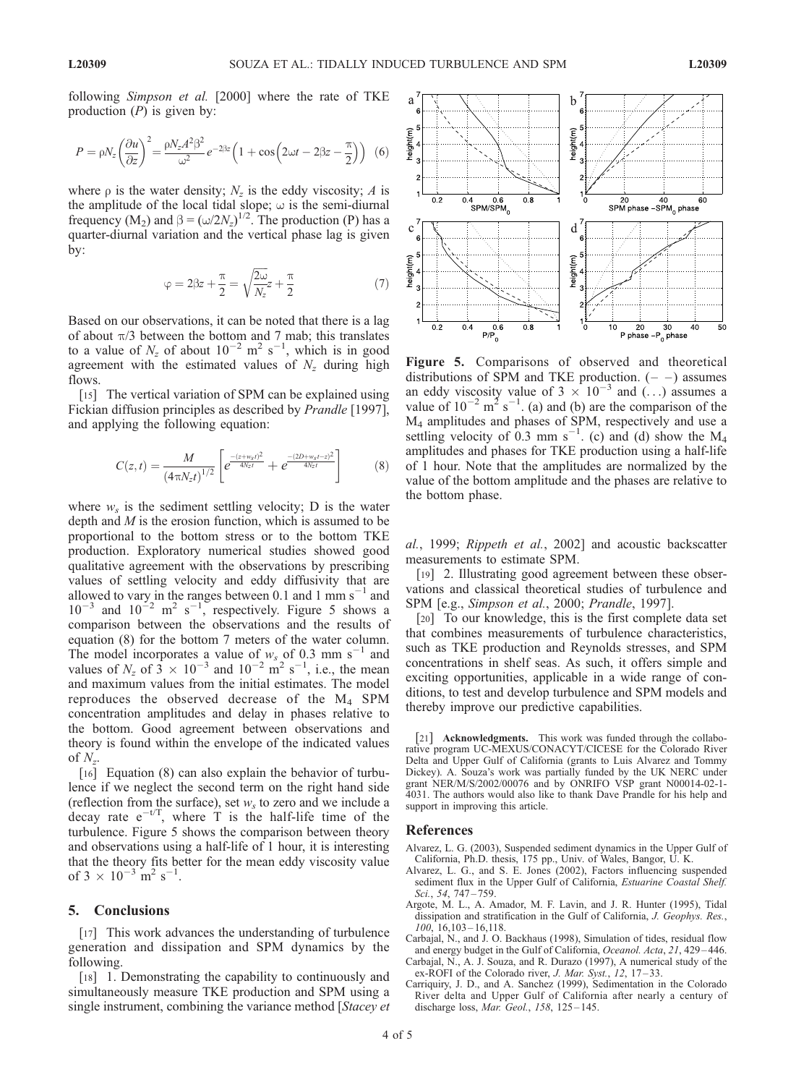$$
P = \rho N_z \left(\frac{\partial u}{\partial z}\right)^2 = \frac{\rho N_z A^2 \beta^2}{\omega^2} e^{-2\beta z} \left(1 + \cos\left(2\omega t - 2\beta z - \frac{\pi}{2}\right)\right)
$$
 (6)

where  $\rho$  is the water density;  $N_z$  is the eddy viscosity; A is the amplitude of the local tidal slope;  $\omega$  is the semi-diurnal frequency (M<sub>2</sub>) and  $\beta = (\omega/2N_z)^{1/2}$ . The production (P) has a quarter-diurnal variation and the vertical phase lag is given by:

$$
\varphi = 2\beta z + \frac{\pi}{2} = \sqrt{\frac{2\omega}{N_z^2}} + \frac{\pi}{2}
$$
 (7)

Based on our observations, it can be noted that there is a lag of about  $\pi/3$  between the bottom and 7 mab; this translates to a value of  $N_z$  of about  $10^{-2}$  m<sup>2</sup> s<sup>-1</sup>, which is in good agreement with the estimated values of  $N_z$  during high flows.

[15] The vertical variation of SPM can be explained using Fickian diffusion principles as described by Prandle [1997], and applying the following equation:

$$
C(z,t) = \frac{M}{\left(4\pi N_z t\right)^{1/2}} \left[e^{\frac{-(z+w_s t)^2}{4N_z t}} + e^{\frac{-(2D+w_s t - z)^2}{4N_z t}}\right]
$$
(8)

where  $w_s$  is the sediment settling velocity; D is the water depth and  $M$  is the erosion function, which is assumed to be proportional to the bottom stress or to the bottom TKE production. Exploratory numerical studies showed good qualitative agreement with the observations by prescribing values of settling velocity and eddy diffusivity that are allowed to vary in the ranges between 0.1 and 1 mm  $s^{-1}$  and  $10^{-3}$  and  $10^{-2}$  m<sup>2</sup> s<sup>-1</sup>, respectively. Figure 5 shows a comparison between the observations and the results of equation (8) for the bottom 7 meters of the water column. The model incorporates a value of  $w_s$  of 0.3 mm s<sup>-1</sup> and values of  $N_z$  of  $3 \times 10^{-3}$  and  $10^{-2}$  m<sup>2</sup> s<sup>-1</sup>, i.e., the mean and maximum values from the initial estimates. The model reproduces the observed decrease of the M4 SPM concentration amplitudes and delay in phases relative to the bottom. Good agreement between observations and theory is found within the envelope of the indicated values of  $N_{\tau}$ .

[16] Equation (8) can also explain the behavior of turbulence if we neglect the second term on the right hand side (reflection from the surface), set  $w<sub>s</sub>$  to zero and we include a decay rate  $e^{-t/T}$ , where T is the half-life time of the turbulence. Figure 5 shows the comparison between theory and observations using a half-life of 1 hour, it is interesting that the theory fits better for the mean eddy viscosity value of  $3 \times 10^{-3}$  m<sup>2</sup> s<sup>-1</sup>.

#### 5. Conclusions

[17] This work advances the understanding of turbulence generation and dissipation and SPM dynamics by the following.

[18] 1. Demonstrating the capability to continuously and simultaneously measure TKE production and SPM using a single instrument, combining the variance method [Stacey et



Figure 5. Comparisons of observed and theoretical distributions of SPM and TKE production.  $(- -)$  assumes an eddy viscosity value of  $3 \times 10^{-3}$  and  $\ldots$ ) assumes a value of  $10^{-2}$  m<sup>2</sup> s<sup>-1</sup>. (a) and (b) are the comparison of the M4 amplitudes and phases of SPM, respectively and use a settling velocity of 0.3 mm s<sup>-1</sup>. (c) and (d) show the  $M_4$ amplitudes and phases for TKE production using a half-life of 1 hour. Note that the amplitudes are normalized by the value of the bottom amplitude and the phases are relative to the bottom phase.

al., 1999; Rippeth et al., 2002] and acoustic backscatter measurements to estimate SPM.

[19] 2. Illustrating good agreement between these observations and classical theoretical studies of turbulence and SPM [e.g., Simpson et al., 2000; Prandle, 1997].

[20] To our knowledge, this is the first complete data set that combines measurements of turbulence characteristics, such as TKE production and Reynolds stresses, and SPM concentrations in shelf seas. As such, it offers simple and exciting opportunities, applicable in a wide range of conditions, to test and develop turbulence and SPM models and thereby improve our predictive capabilities.

[21] **Acknowledgments.** This work was funded through the collaborative program UC-MEXUS/CONACYT/CICESE for the Colorado River Delta and Upper Gulf of California (grants to Luis Alvarez and Tommy Dickey). A. Souza's work was partially funded by the UK NERC under grant NER/M/S/2002/00076 and by ONRIFO VSP grant N00014-02-1- 4031. The authors would also like to thank Dave Prandle for his help and support in improving this article.

#### References

- Alvarez, L. G. (2003), Suspended sediment dynamics in the Upper Gulf of California, Ph.D. thesis, 175 pp., Univ. of Wales, Bangor, U. K.
- Alvarez, L. G., and S. E. Jones (2002), Factors influencing suspended sediment flux in the Upper Gulf of California, Estuarine Coastal Shelf. Sci., 54, 747 – 759.
- Argote, M. L., A. Amador, M. F. Lavin, and J. R. Hunter (1995), Tidal dissipation and stratification in the Gulf of California, *J. Geophys. Res.*,  $100, 16, 103 - 16, 118.$
- Carbajal, N., and J. O. Backhaus (1998), Simulation of tides, residual flow and energy budget in the Gulf of California, Oceanol. Acta, 21, 429 – 446.
- Carbajal, N., A. J. Souza, and R. Durazo (1997), A numerical study of the ex-ROFI of the Colorado river, J. Mar. Syst., 12, 17-33.
- Carriquiry, J. D., and A. Sanchez (1999), Sedimentation in the Colorado River delta and Upper Gulf of California after nearly a century of discharge loss, Mar. Geol., 158, 125-145.